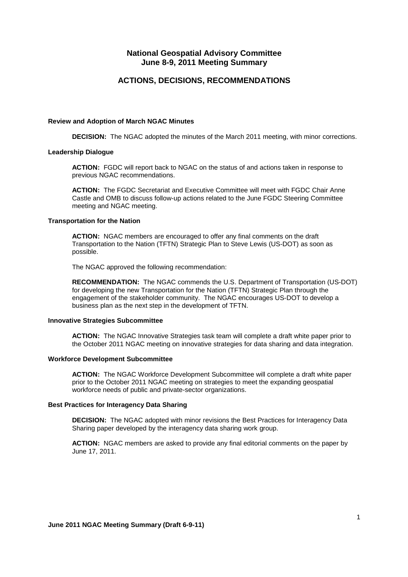## **National Geospatial Advisory Committee June 8-9, 2011 Meeting Summary**

## **ACTIONS, DECISIONS, RECOMMENDATIONS**

#### **Review and Adoption of March NGAC Minutes**

**DECISION:** The NGAC adopted the minutes of the March 2011 meeting, with minor corrections.

#### **Leadership Dialogue**

**ACTION:** FGDC will report back to NGAC on the status of and actions taken in response to previous NGAC recommendations.

**ACTION:** The FGDC Secretariat and Executive Committee will meet with FGDC Chair Anne Castle and OMB to discuss follow-up actions related to the June FGDC Steering Committee meeting and NGAC meeting.

#### **Transportation for the Nation**

**ACTION:** NGAC members are encouraged to offer any final comments on the draft Transportation to the Nation (TFTN) Strategic Plan to Steve Lewis (US-DOT) as soon as possible.

The NGAC approved the following recommendation:

**RECOMMENDATION:** The NGAC commends the U.S. Department of Transportation (US-DOT) for developing the new Transportation for the Nation (TFTN) Strategic Plan through the engagement of the stakeholder community. The NGAC encourages US-DOT to develop a business plan as the next step in the development of TFTN.

### **Innovative Strategies Subcommittee**

**ACTION:** The NGAC Innovative Strategies task team will complete a draft white paper prior to the October 2011 NGAC meeting on innovative strategies for data sharing and data integration.

### **Workforce Development Subcommittee**

**ACTION:** The NGAC Workforce Development Subcommittee will complete a draft white paper prior to the October 2011 NGAC meeting on strategies to meet the expanding geospatial workforce needs of public and private-sector organizations.

### **Best Practices for Interagency Data Sharing**

**DECISION:** The NGAC adopted with minor revisions the Best Practices for Interagency Data Sharing paper developed by the interagency data sharing work group.

**ACTION:** NGAC members are asked to provide any final editorial comments on the paper by June 17, 2011.